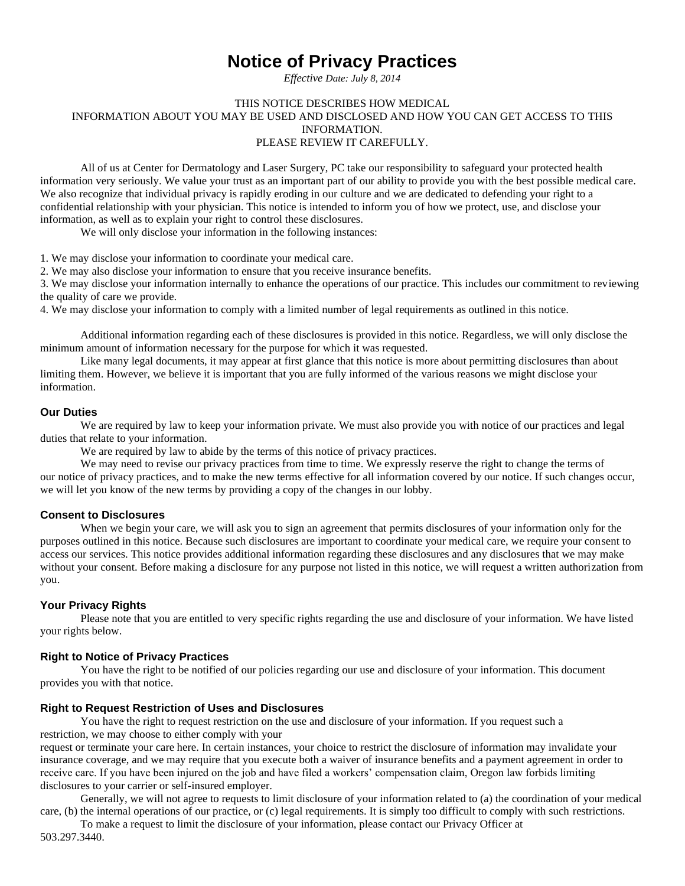# **Notice of Privacy Practices**

*Effective Date: July 8, 2014*

## THIS NOTICE DESCRIBES HOW MEDICAL INFORMATION ABOUT YOU MAY BE USED AND DISCLOSED AND HOW YOU CAN GET ACCESS TO THIS INFORMATION. PLEASE REVIEW IT CAREFULLY.

All of us at Center for Dermatology and Laser Surgery, PC take our responsibility to safeguard your protected health information very seriously. We value your trust as an important part of our ability to provide you with the best possible medical care. We also recognize that individual privacy is rapidly eroding in our culture and we are dedicated to defending your right to a confidential relationship with your physician. This notice is intended to inform you of how we protect, use, and disclose your information, as well as to explain your right to control these disclosures.

We will only disclose your information in the following instances:

1. We may disclose your information to coordinate your medical care.

2. We may also disclose your information to ensure that you receive insurance benefits.

3. We may disclose your information internally to enhance the operations of our practice. This includes our commitment to reviewing the quality of care we provide.

4. We may disclose your information to comply with a limited number of legal requirements as outlined in this notice.

Additional information regarding each of these disclosures is provided in this notice. Regardless, we will only disclose the minimum amount of information necessary for the purpose for which it was requested.

Like many legal documents, it may appear at first glance that this notice is more about permitting disclosures than about limiting them. However, we believe it is important that you are fully informed of the various reasons we might disclose your information.

# **Our Duties**

We are required by law to keep your information private. We must also provide you with notice of our practices and legal duties that relate to your information.

We are required by law to abide by the terms of this notice of privacy practices.

We may need to revise our privacy practices from time to time. We expressly reserve the right to change the terms of our notice of privacy practices, and to make the new terms effective for all information covered by our notice. If such changes occur, we will let you know of the new terms by providing a copy of the changes in our lobby.

#### **Consent to Disclosures**

When we begin your care, we will ask you to sign an agreement that permits disclosures of your information only for the purposes outlined in this notice. Because such disclosures are important to coordinate your medical care, we require your consent to access our services. This notice provides additional information regarding these disclosures and any disclosures that we may make without your consent. Before making a disclosure for any purpose not listed in this notice, we will request a written authorization from you.

## **Your Privacy Rights**

Please note that you are entitled to very specific rights regarding the use and disclosure of your information. We have listed your rights below.

## **Right to Notice of Privacy Practices**

You have the right to be notified of our policies regarding our use and disclosure of your information. This document provides you with that notice.

#### **Right to Request Restriction of Uses and Disclosures**

You have the right to request restriction on the use and disclosure of your information. If you request such a restriction, we may choose to either comply with your

request or terminate your care here. In certain instances, your choice to restrict the disclosure of information may invalidate your insurance coverage, and we may require that you execute both a waiver of insurance benefits and a payment agreement in order to receive care. If you have been injured on the job and have filed a workers' compensation claim, Oregon law forbids limiting disclosures to your carrier or self-insured employer.

Generally, we will not agree to requests to limit disclosure of your information related to (a) the coordination of your medical care, (b) the internal operations of our practice, or (c) legal requirements. It is simply too difficult to comply with such restrictions.

To make a request to limit the disclosure of your information, please contact our Privacy Officer at

503.297.3440.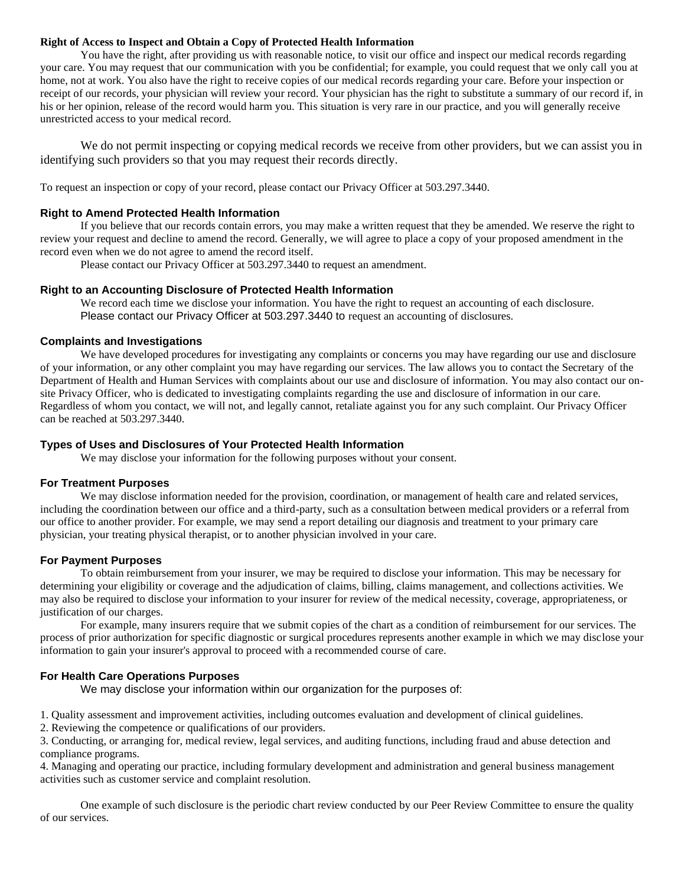#### **Right of Access to Inspect and Obtain a Copy of Protected Health Information**

You have the right, after providing us with reasonable notice, to visit our office and inspect our medical records regarding your care. You may request that our communication with you be confidential; for example, you could request that we only call you at home, not at work. You also have the right to receive copies of our medical records regarding your care. Before your inspection or receipt of our records, your physician will review your record. Your physician has the right to substitute a summary of our record if, in his or her opinion, release of the record would harm you. This situation is very rare in our practice, and you will generally receive unrestricted access to your medical record.

We do not permit inspecting or copying medical records we receive from other providers, but we can assist you in identifying such providers so that you may request their records directly.

To request an inspection or copy of your record, please contact our Privacy Officer at 503.297.3440.

#### **Right to Amend Protected Health Information**

If you believe that our records contain errors, you may make a written request that they be amended. We reserve the right to review your request and decline to amend the record. Generally, we will agree to place a copy of your proposed amendment in the record even when we do not agree to amend the record itself.

Please contact our Privacy Officer at 503.297.3440 to request an amendment.

#### **Right to an Accounting Disclosure of Protected Health Information**

We record each time we disclose your information. You have the right to request an accounting of each disclosure. Please contact our Privacy Officer at 503.297.3440 to request an accounting of disclosures.

#### **Complaints and Investigations**

We have developed procedures for investigating any complaints or concerns you may have regarding our use and disclosure of your information, or any other complaint you may have regarding our services. The law allows you to contact the Secretary of the Department of Health and Human Services with complaints about our use and disclosure of information. You may also contact our onsite Privacy Officer, who is dedicated to investigating complaints regarding the use and disclosure of information in our care. Regardless of whom you contact, we will not, and legally cannot, retaliate against you for any such complaint. Our Privacy Officer can be reached at 503.297.3440.

# **Types of Uses and Disclosures of Your Protected Health Information**

We may disclose your information for the following purposes without your consent.

#### **For Treatment Purposes**

We may disclose information needed for the provision, coordination, or management of health care and related services, including the coordination between our office and a third-party, such as a consultation between medical providers or a referral from our office to another provider. For example, we may send a report detailing our diagnosis and treatment to your primary care physician, your treating physical therapist, or to another physician involved in your care.

#### **For Payment Purposes**

To obtain reimbursement from your insurer, we may be required to disclose your information. This may be necessary for determining your eligibility or coverage and the adjudication of claims, billing, claims management, and collections activities. We may also be required to disclose your information to your insurer for review of the medical necessity, coverage, appropriateness, or justification of our charges.

For example, many insurers require that we submit copies of the chart as a condition of reimbursement for our services. The process of prior authorization for specific diagnostic or surgical procedures represents another example in which we may disclose your information to gain your insurer's approval to proceed with a recommended course of care.

#### **For Health Care Operations Purposes**

We may disclose your information within our organization for the purposes of:

1. Quality assessment and improvement activities, including outcomes evaluation and development of clinical guidelines.

2. Reviewing the competence or qualifications of our providers.

3. Conducting, or arranging for, medical review, legal services, and auditing functions, including fraud and abuse detection and compliance programs.

4. Managing and operating our practice, including formulary development and administration and general business management activities such as customer service and complaint resolution.

One example of such disclosure is the periodic chart review conducted by our Peer Review Committee to ensure the quality of our services.